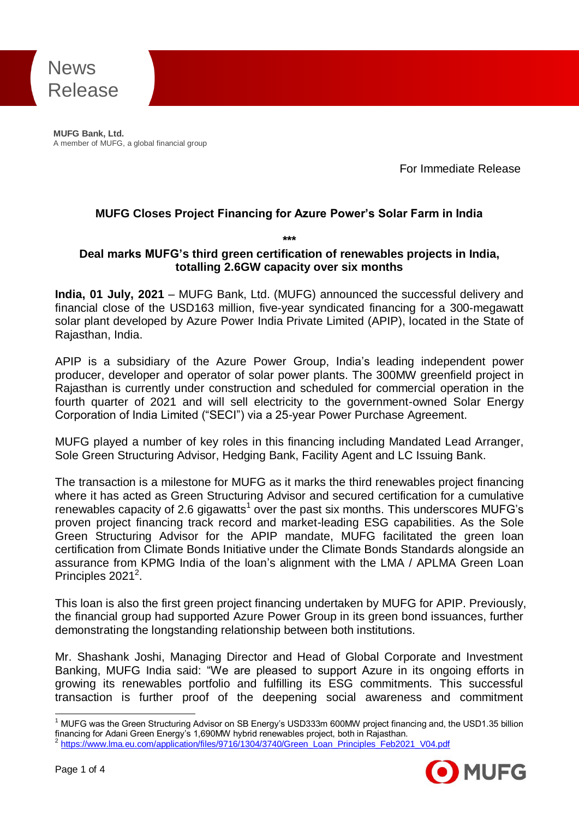

**MUFG Bank, Ltd.**<br>A member of MUFG, a global financial group **MUFG Bank, Ltd.**

For Immediate Release

## **MUFG Closes Project Financing for Azure Power's Solar Farm in India**

**\*\*\***

#### **Deal marks MUFG's third green certification of renewables projects in India, totalling 2.6GW capacity over six months**

**India, 01 July, 2021** – MUFG Bank, Ltd. (MUFG) announced the successful delivery and financial close of the USD163 million, five-year syndicated financing for a 300-megawatt solar plant developed by Azure Power India Private Limited (APIP), located in the State of Rajasthan, India.

APIP is a subsidiary of the Azure Power Group, India's leading independent power producer, developer and operator of solar power plants. The 300MW greenfield project in Rajasthan is currently under construction and scheduled for commercial operation in the fourth quarter of 2021 and will sell electricity to the government-owned Solar Energy Corporation of India Limited ("SECI") via a 25-year Power Purchase Agreement.

MUFG played a number of key roles in this financing including Mandated Lead Arranger, Sole Green Structuring Advisor, Hedging Bank, Facility Agent and LC Issuing Bank.

The transaction is a milestone for MUFG as it marks the third renewables project financing where it has acted as Green Structuring Advisor and secured certification for a cumulative renewables capacity of 2.6 gigawatts<sup>1</sup> over the past six months. This underscores MUFG's proven project financing track record and market-leading ESG capabilities. As the Sole Green Structuring Advisor for the APIP mandate, MUFG facilitated the green loan certification from Climate Bonds Initiative under the Climate Bonds Standards alongside an assurance from KPMG India of the loan's alignment with the LMA / APLMA Green Loan Principles 2021<sup>2</sup>.

This loan is also the first green project financing undertaken by MUFG for APIP. Previously, the financial group had supported Azure Power Group in its green bond issuances, further demonstrating the longstanding relationship between both institutions.

Mr. Shashank Joshi, Managing Director and Head of Global Corporate and Investment Banking, MUFG India said: "We are pleased to support Azure in its ongoing efforts in growing its renewables portfolio and fulfilling its ESG commitments. This successful transaction is further proof of the deepening social awareness and commitment

[https://www.lma.eu.com/application/files/9716/1304/3740/Green\\_Loan\\_Principles\\_Feb2021\\_V04.pdf](https://www.lma.eu.com/application/files/9716/1304/3740/Green_Loan_Principles_Feb2021_V04.pdf)



<sup>-</sup><sup>1</sup> MUFG was the Green Structuring Advisor on SB Energy's USD333m 600MW project financing and, the USD1.35 billion financing for Adani Green Energy's 1,690MW hybrid renewables project, both in Rajasthan. 2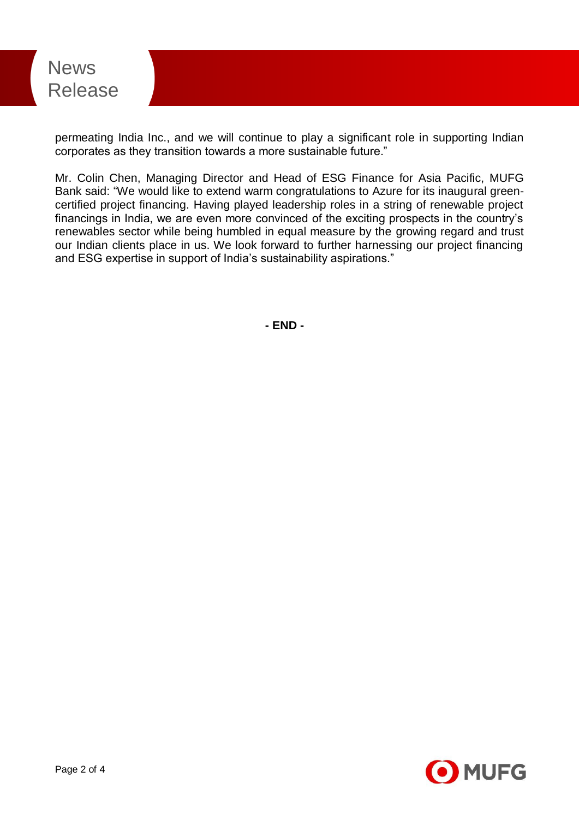

permeating India Inc., and we will continue to play a significant role in supporting Indian corporates as they transition towards a more sustainable future."

Mr. Colin Chen, Managing Director and Head of ESG Finance for Asia Pacific, MUFG Bank said: "We would like to extend warm congratulations to Azure for its inaugural greencertified project financing. Having played leadership roles in a string of renewable project financings in India, we are even more convinced of the exciting prospects in the country's renewables sector while being humbled in equal measure by the growing regard and trust our Indian clients place in us. We look forward to further harnessing our project financing and ESG expertise in support of India's sustainability aspirations."

**- END -**

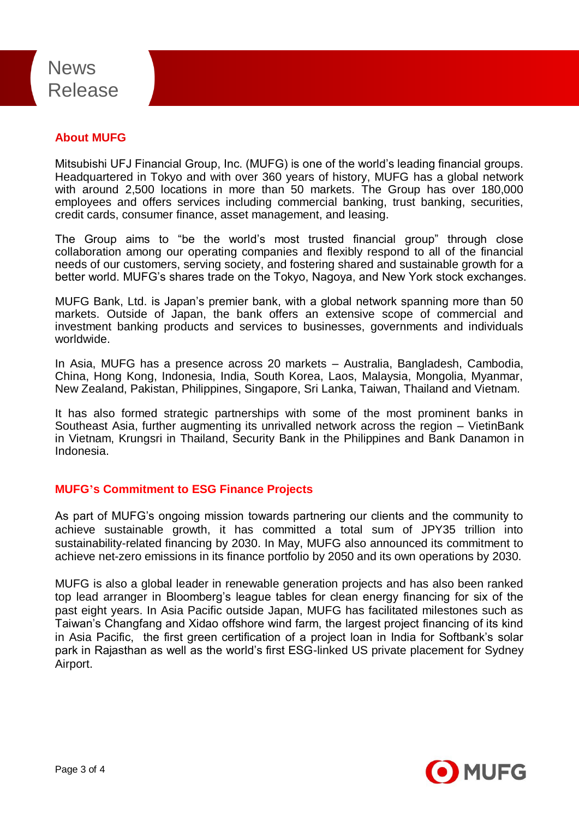# News Release

# **About MUFG**

Mitsubishi UFJ Financial Group, Inc. (MUFG) is one of the world's leading financial groups. Headquartered in Tokyo and with over 360 years of history, MUFG has a global network with around 2,500 locations in more than 50 markets. The Group has over 180,000 employees and offers services including commercial banking, trust banking, securities, credit cards, consumer finance, asset management, and leasing.

The Group aims to "be the world's most trusted financial group" through close collaboration among our operating companies and flexibly respond to all of the financial needs of our customers, serving society, and fostering shared and sustainable growth for a better world. MUFG's shares trade on the Tokyo, Nagoya, and New York stock exchanges.

MUFG Bank, Ltd. is Japan's premier bank, with a global network spanning more than 50 markets. Outside of Japan, the bank offers an extensive scope of commercial and investment banking products and services to businesses, governments and individuals worldwide.

In Asia, MUFG has a presence across 20 markets – Australia, Bangladesh, Cambodia, China, Hong Kong, Indonesia, India, South Korea, Laos, Malaysia, Mongolia, Myanmar, New Zealand, Pakistan, Philippines, Singapore, Sri Lanka, Taiwan, Thailand and Vietnam.

It has also formed strategic partnerships with some of the most prominent banks in Southeast Asia, further augmenting its unrivalled network across the region – VietinBank in Vietnam, Krungsri in Thailand, Security Bank in the Philippines and Bank Danamon in Indonesia.

# **MUFG's Commitment to ESG Finance Projects**

As part of MUFG's ongoing mission towards partnering our clients and the community to achieve sustainable growth, it has committed a total sum of JPY35 trillion into sustainability-related financing by 2030. In May, MUFG also announced its commitment to achieve net-zero emissions in its finance portfolio by 2050 and its own operations by 2030.

MUFG is also a global leader in renewable generation projects and has also been ranked top lead arranger in Bloomberg's league tables for clean energy financing for six of the past eight years. In Asia Pacific outside Japan, MUFG has facilitated milestones such as Taiwan's Changfang and Xidao offshore wind farm, the largest project financing of its kind in Asia Pacific, the first green certification of a project loan in India for Softbank's solar park in Rajasthan as well as the world's first ESG-linked US private placement for Sydney Airport.